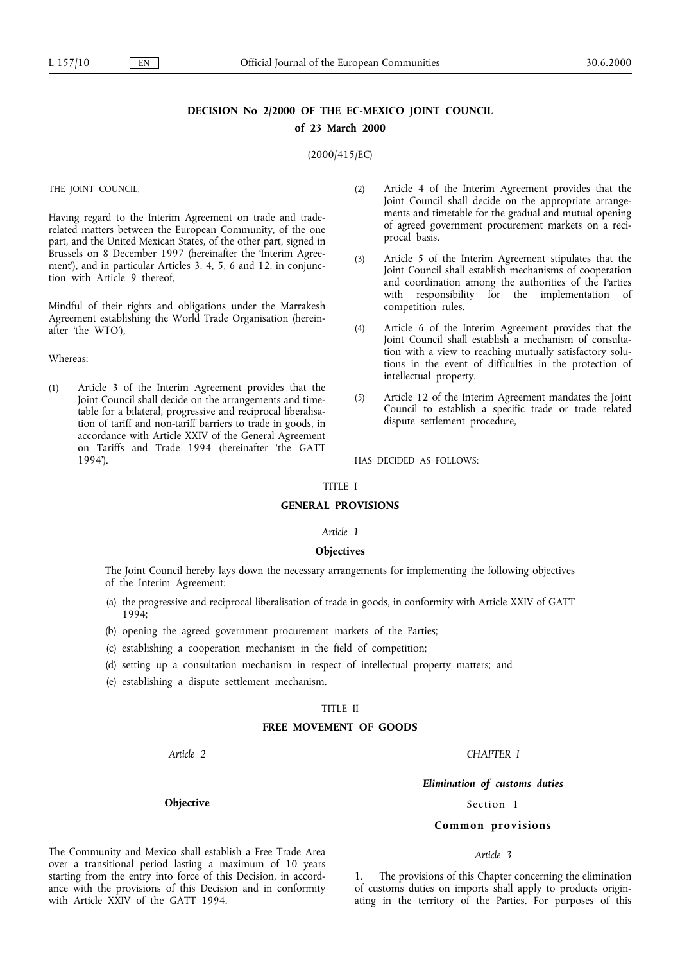# **DECISION No 2/2000 OF THE EC-MEXICO JOINT COUNCIL of 23 March 2000**

(2000/415/EC)

THE JOINT COUNCIL,

Having regard to the Interim Agreement on trade and traderelated matters between the European Community, of the one part, and the United Mexican States, of the other part, signed in Brussels on 8 December 1997 (hereinafter the 'Interim Agreement'), and in particular Articles 3, 4, 5, 6 and 12, in conjunction with Article 9 thereof,

Mindful of their rights and obligations under the Marrakesh Agreement establishing the World Trade Organisation (hereinafter 'the WTO'),

#### Whereas:

(1) Article 3 of the Interim Agreement provides that the Joint Council shall decide on the arrangements and timetable for a bilateral, progressive and reciprocal liberalisation of tariff and non-tariff barriers to trade in goods, in accordance with Article XXIV of the General Agreement on Tariffs and Trade 1994(hereinafter 'the GATT 1994').

- (2) Article 4of the Interim Agreement provides that the Joint Council shall decide on the appropriate arrangements and timetable for the gradual and mutual opening of agreed government procurement markets on a reciprocal basis.
- (3) Article 5 of the Interim Agreement stipulates that the Joint Council shall establish mechanisms of cooperation and coordination among the authorities of the Parties with responsibility for the implementation of competition rules.
- (4) Article 6 of the Interim Agreement provides that the Joint Council shall establish a mechanism of consultation with a view to reaching mutually satisfactory solutions in the event of difficulties in the protection of intellectual property.
- (5) Article 12 of the Interim Agreement mandates the Joint Council to establish a specific trade or trade related dispute settlement procedure,

HAS DECIDED AS FOLLOWS:

#### TITLE I

## **GENERAL PROVISIONS**

## *Article 1*

## **Objectives**

The Joint Council hereby lays down the necessary arrangements for implementing the following objectives of the Interim Agreement:

- (a) the progressive and reciprocal liberalisation of trade in goods, in conformity with Article XXIV of GATT 1994;
- (b) opening the agreed government procurement markets of the Parties;
- (c) establishing a cooperation mechanism in the field of competition;
- (d) setting up a consultation mechanism in respect of intellectual property matters; and
- (e) establishing a dispute settlement mechanism.

## TITLE II

#### **FREE MOVEMENT OF GOODS**

*Article 2*

# *Elimination of customs duties*

*CHAPTER I*

Section 1

#### **Common provisions**

## *Article 3*

1. The provisions of this Chapter concerning the elimination of customs duties on imports shall apply to products originating in the territory of the Parties. For purposes of this

**Objective**

The Community and Mexico shall establish a Free Trade Area over a transitional period lasting a maximum of 10 years starting from the entry into force of this Decision, in accordance with the provisions of this Decision and in conformity

with Article XXIV of the GATT 1994.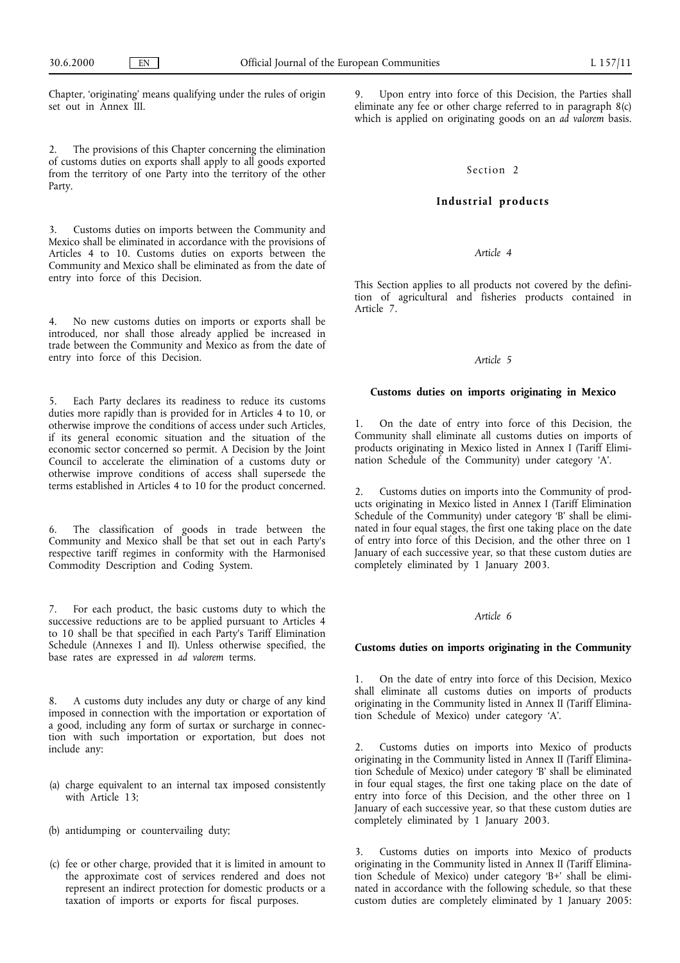Chapter, 'originating' means qualifying under the rules of origin set out in Annex III.

2. The provisions of this Chapter concerning the elimination of customs duties on exports shall apply to all goods exported from the territory of one Party into the territory of the other Party.

Customs duties on imports between the Community and Mexico shall be eliminated in accordance with the provisions of Articles 4 to 10. Customs duties on exports between the Community and Mexico shall be eliminated as from the date of entry into force of this Decision.

4. No new customs duties on imports or exports shall be introduced, nor shall those already applied be increased in trade between the Community and Mexico as from the date of entry into force of this Decision.

Each Party declares its readiness to reduce its customs duties more rapidly than is provided for in Articles 4 to 10, or otherwise improve the conditions of access under such Articles, if its general economic situation and the situation of the economic sector concerned so permit. A Decision by the Joint Council to accelerate the elimination of a customs duty or otherwise improve conditions of access shall supersede the terms established in Articles 4 to 10 for the product concerned.

The classification of goods in trade between the Community and Mexico shall be that set out in each Party's respective tariff regimes in conformity with the Harmonised Commodity Description and Coding System.

For each product, the basic customs duty to which the successive reductions are to be applied pursuant to Articles 4 to 10 shall be that specified in each Party's Tariff Elimination Schedule (Annexes I and II). Unless otherwise specified, the base rates are expressed in *ad valorem* terms.

8. A customs duty includes any duty or charge of any kind imposed in connection with the importation or exportation of a good, including any form of surtax or surcharge in connection with such importation or exportation, but does not include any:

- (a) charge equivalent to an internal tax imposed consistently with Article 13:
- (b) antidumping or countervailing duty;
- (c) fee or other charge, provided that it is limited in amount to the approximate cost of services rendered and does not represent an indirect protection for domestic products or a taxation of imports or exports for fiscal purposes.

Upon entry into force of this Decision, the Parties shall eliminate any fee or other charge referred to in paragraph 8(c) which is applied on originating goods on an *ad valorem* basis.

## Section 2

## **Industrial products**

## *Article 4*

This Section applies to all products not covered by the definition of agricultural and fisheries products contained in Article 7.

## *Article 5*

#### **Customs duties on imports originating in Mexico**

1. On the date of entry into force of this Decision, the Community shall eliminate all customs duties on imports of products originating in Mexico listed in Annex I (Tariff Elimination Schedule of the Community) under category 'A'.

2. Customs duties on imports into the Community of products originating in Mexico listed in Annex I (Tariff Elimination Schedule of the Community) under category 'B' shall be eliminated in four equal stages, the first one taking place on the date of entry into force of this Decision, and the other three on 1 January of each successive year, so that these custom duties are completely eliminated by 1 January 2003.

#### *Article 6*

#### **Customs duties on imports originating in the Community**

1. On the date of entry into force of this Decision, Mexico shall eliminate all customs duties on imports of products originating in the Community listed in Annex II (Tariff Elimination Schedule of Mexico) under category 'A'.

2. Customs duties on imports into Mexico of products originating in the Community listed in Annex II (Tariff Elimination Schedule of Mexico) under category 'B' shall be eliminated in four equal stages, the first one taking place on the date of entry into force of this Decision, and the other three on 1 January of each successive year, so that these custom duties are completely eliminated by 1 January 2003.

3. Customs duties on imports into Mexico of products originating in the Community listed in Annex II (Tariff Elimination Schedule of Mexico) under category 'B+' shall be eliminated in accordance with the following schedule, so that these custom duties are completely eliminated by 1 January 2005: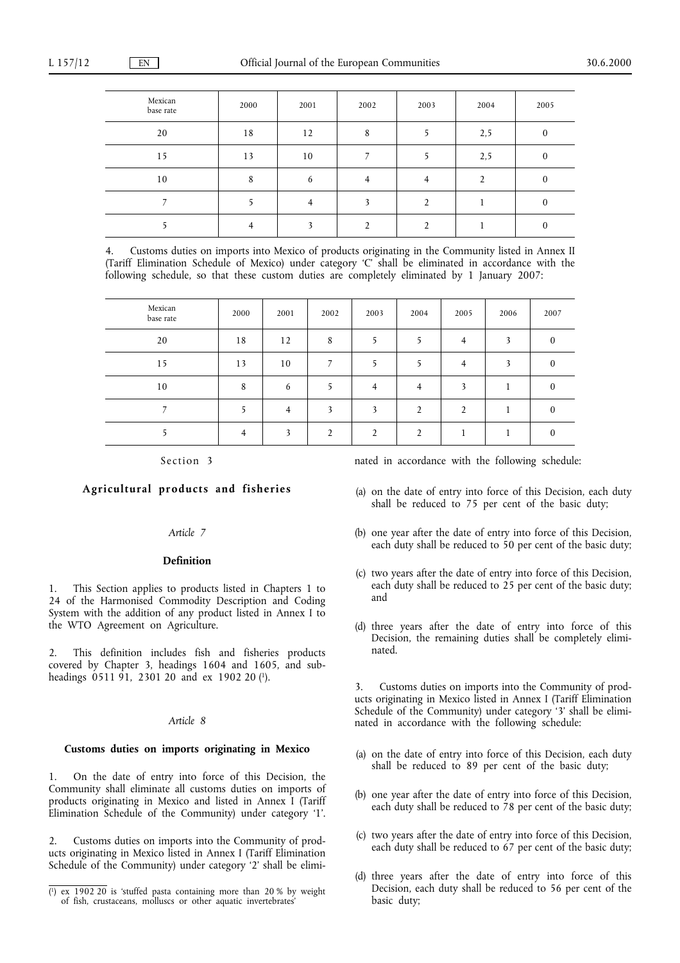| Mexican<br>base rate | 2000 | 2001 | 2002 | 2003 | 2004 | 2005     |
|----------------------|------|------|------|------|------|----------|
| 20                   | 18   | 12   | 8    |      | 2,5  | $\Omega$ |
| 15                   | 13   | 10   |      |      | 2,5  | $\theta$ |
| 10                   | 8    | 6    |      |      |      | 0        |
|                      |      |      |      |      |      | $_{0}$   |
|                      |      |      |      |      |      | $\theta$ |

4. Customs duties on imports into Mexico of products originating in the Community listed in Annex II (Tariff Elimination Schedule of Mexico) under category 'C' shall be eliminated in accordance with the following schedule, so that these custom duties are completely eliminated by 1 January 2007:

| Mexican<br>base rate | 2000           | 2001           | 2002           | 2003           | 2004           | 2005           | 2006 | 2007     |
|----------------------|----------------|----------------|----------------|----------------|----------------|----------------|------|----------|
| 20                   | 18             | 12             | 8              |                |                | 4              | 3    | $\theta$ |
| 15                   | 13             | 10             |                |                |                | $\overline{4}$ |      | $\Omega$ |
| 10                   | 8              | 6              |                | $\overline{4}$ | $\overline{4}$ | 3              |      | $\Omega$ |
|                      |                | $\overline{4}$ | 3              | $\mathbf{3}$   | $\mathfrak{D}$ | $\overline{2}$ |      | $\Omega$ |
|                      | $\overline{4}$ | $\mathbf{z}$   | $\mathfrak{D}$ | $\mathcal{D}$  | $\mathfrak{D}$ |                |      | $\Omega$ |

Section 3

# **Agricultural products and fisheries**

## *Article 7*

## **Definition**

This Section applies to products listed in Chapters 1 to 24 of the Harmonised Commodity Description and Coding System with the addition of any product listed in Annex I to the WTO Agreement on Agriculture.

2. This definition includes fish and fisheries products covered by Chapter 3, headings 1604 and 1605, and subheadings 0511 91, 2301 20 and ex 1902 20 (1).

## *Article 8*

## **Customs duties on imports originating in Mexico**

1. On the date of entry into force of this Decision, the Community shall eliminate all customs duties on imports of products originating in Mexico and listed in Annex I (Tariff Elimination Schedule of the Community) under category '1'.

2. Customs duties on imports into the Community of products originating in Mexico listed in Annex I (Tariff Elimination Schedule of the Community) under category '2' shall be eliminated in accordance with the following schedule:

- (a) on the date of entry into force of this Decision, each duty shall be reduced to 75 per cent of the basic duty;
- (b) one year after the date of entry into force of this Decision, each duty shall be reduced to 50 per cent of the basic duty;
- (c) two years after the date of entry into force of this Decision, each duty shall be reduced to  $25$  per cent of the basic duty; and
- (d) three years after the date of entry into force of this Decision, the remaining duties shall be completely eliminated.

3. Customs duties on imports into the Community of products originating in Mexico listed in Annex I (Tariff Elimination Schedule of the Community) under category '3' shall be eliminated in accordance with the following schedule:

- (a) on the date of entry into force of this Decision, each duty shall be reduced to 89 per cent of the basic duty;
- (b) one year after the date of entry into force of this Decision, each duty shall be reduced to  $78$  per cent of the basic duty;
- (c) two years after the date of entry into force of this Decision, each duty shall be reduced to 67 per cent of the basic duty;
- (d) three years after the date of entry into force of this Decision, each duty shall be reduced to 56 per cent of the

<sup>(1)</sup> ex 1902 20 is 'stuffed pasta containing more than 20 % by weight Decision, e<br>of fish, crustaceans, molluscs or other aquatic invertebrates' basic duty; of fish, crustaceans, molluscs or other aquatic invertebrates'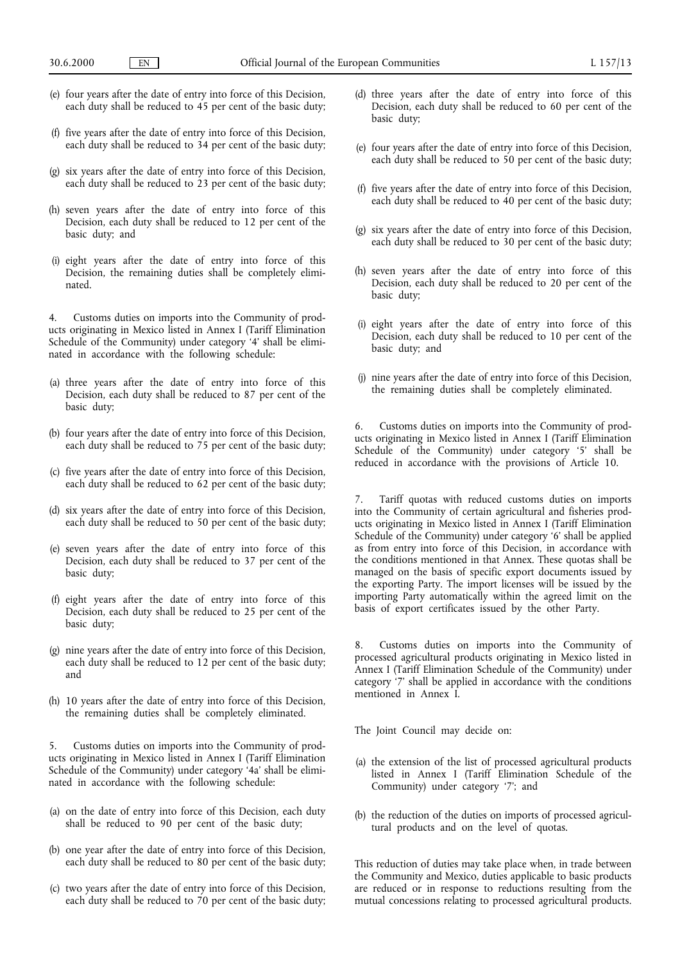- (e) four years after the date of entry into force of this Decision, each duty shall be reduced to 45 per cent of the basic duty;
- (f) five years after the date of entry into force of this Decision, each duty shall be reduced to  $34$  per cent of the basic duty;
- (g) six years after the date of entry into force of this Decision, each duty shall be reduced to  $23$  per cent of the basic duty;
- (h) seven years after the date of entry into force of this Decision, each duty shall be reduced to 12 per cent of the basic duty; and
- (i) eight years after the date of entry into force of this Decision, the remaining duties shall be completely eliminated.

4. Customs duties on imports into the Community of products originating in Mexico listed in Annex I (Tariff Elimination Schedule of the Community) under category '4' shall be eliminated in accordance with the following schedule:

- (a) three years after the date of entry into force of this Decision, each duty shall be reduced to 87 per cent of the basic duty;
- (b) four years after the date of entry into force of this Decision, each duty shall be reduced to 75 per cent of the basic duty;
- (c) five years after the date of entry into force of this Decision, each duty shall be reduced to 62 per cent of the basic duty;
- (d) six years after the date of entry into force of this Decision, each duty shall be reduced to 50 per cent of the basic duty;
- (e) seven years after the date of entry into force of this Decision, each duty shall be reduced to 37 per cent of the basic duty;
- (f) eight years after the date of entry into force of this Decision, each duty shall be reduced to 25 per cent of the basic duty;
- (g) nine years after the date of entry into force of this Decision, each duty shall be reduced to 12 per cent of the basic duty; and
- (h) 10 years after the date of entry into force of this Decision, the remaining duties shall be completely eliminated.

5. Customs duties on imports into the Community of products originating in Mexico listed in Annex I (Tariff Elimination Schedule of the Community) under category '4a' shall be eliminated in accordance with the following schedule:

- (a) on the date of entry into force of this Decision, each duty shall be reduced to 90 per cent of the basic duty;
- (b) one year after the date of entry into force of this Decision, each duty shall be reduced to 80 per cent of the basic duty;
- (c) two years after the date of entry into force of this Decision, each duty shall be reduced to  $70$  per cent of the basic duty;
- (d) three years after the date of entry into force of this Decision, each duty shall be reduced to 60 per cent of the basic duty;
- (e) four years after the date of entry into force of this Decision, each duty shall be reduced to 50 per cent of the basic duty;
- (f) five years after the date of entry into force of this Decision, each duty shall be reduced to  $40$  per cent of the basic duty;
- (g) six years after the date of entry into force of this Decision, each duty shall be reduced to 30 per cent of the basic duty;
- (h) seven years after the date of entry into force of this Decision, each duty shall be reduced to 20 per cent of the basic duty;
- (i) eight years after the date of entry into force of this Decision, each duty shall be reduced to 10 per cent of the basic duty; and
- (j) nine years after the date of entry into force of this Decision, the remaining duties shall be completely eliminated.

6. Customs duties on imports into the Community of products originating in Mexico listed in Annex I (Tariff Elimination Schedule of the Community) under category '5' shall be reduced in accordance with the provisions of Article 10.

Tariff quotas with reduced customs duties on imports into the Community of certain agricultural and fisheries products originating in Mexico listed in Annex I (Tariff Elimination Schedule of the Community) under category '6' shall be applied as from entry into force of this Decision, in accordance with the conditions mentioned in that Annex. These quotas shall be managed on the basis of specific export documents issued by the exporting Party. The import licenses will be issued by the importing Party automatically within the agreed limit on the basis of export certificates issued by the other Party.

8. Customs duties on imports into the Community of processed agricultural products originating in Mexico listed in Annex I (Tariff Elimination Schedule of the Community) under category '7' shall be applied in accordance with the conditions mentioned in Annex I.

The Joint Council may decide on:

- (a) the extension of the list of processed agricultural products listed in Annex I (Tariff Elimination Schedule of the Community) under category '7'; and
- (b) the reduction of the duties on imports of processed agricultural products and on the level of quotas.

This reduction of duties may take place when, in trade between the Community and Mexico, duties applicable to basic products are reduced or in response to reductions resulting from the mutual concessions relating to processed agricultural products.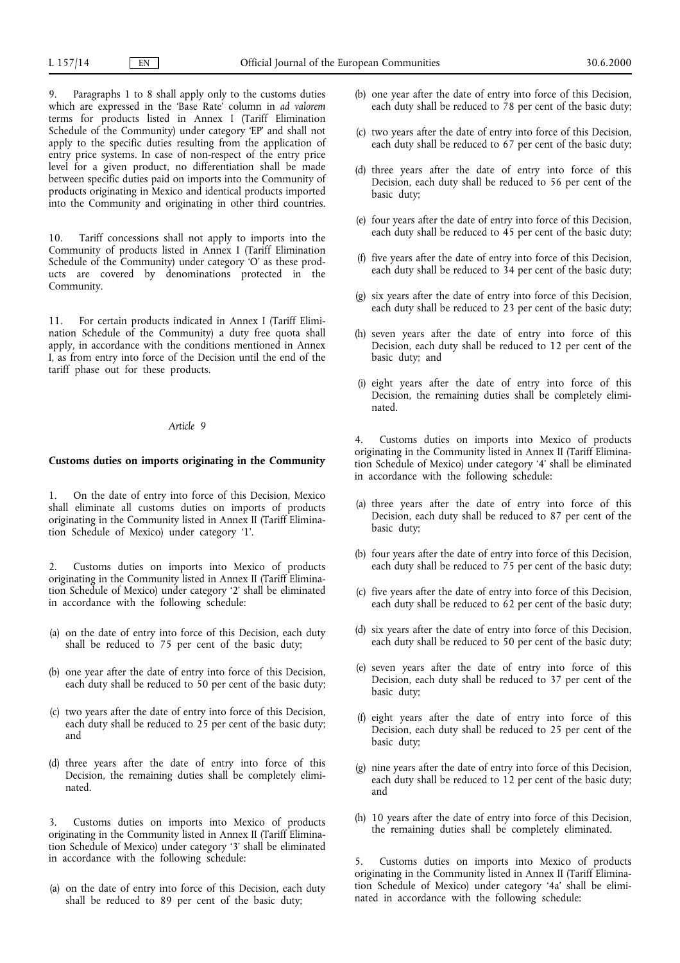Paragraphs 1 to 8 shall apply only to the customs duties which are expressed in the 'Base Rate' column in *ad valorem* terms for products listed in Annex I (Tariff Elimination Schedule of the Community) under category 'EP' and shall not apply to the specific duties resulting from the application of entry price systems. In case of non-respect of the entry price level for a given product, no differentiation shall be made between specific duties paid on imports into the Community of products originating in Mexico and identical products imported into the Community and originating in other third countries.

10. Tariff concessions shall not apply to imports into the Community of products listed in Annex I (Tariff Elimination Schedule of the Community) under category 'O' as these products are covered by denominations protected in the Community.

11. For certain products indicated in Annex I (Tariff Elimination Schedule of the Community) a duty free quota shall apply, in accordance with the conditions mentioned in Annex I, as from entry into force of the Decision until the end of the tariff phase out for these products.

#### *Article 9*

## **Customs duties on imports originating in the Community**

1. On the date of entry into force of this Decision, Mexico shall eliminate all customs duties on imports of products originating in the Community listed in Annex II (Tariff Elimination Schedule of Mexico) under category '1'.

2. Customs duties on imports into Mexico of products originating in the Community listed in Annex II (Tariff Elimination Schedule of Mexico) under category '2' shall be eliminated in accordance with the following schedule:

- (a) on the date of entry into force of this Decision, each duty shall be reduced to 75 per cent of the basic duty;
- (b) one year after the date of entry into force of this Decision, each duty shall be reduced to 50 per cent of the basic duty;
- (c) two years after the date of entry into force of this Decision, each duty shall be reduced to  $25$  per cent of the basic duty; and
- (d) three years after the date of entry into force of this Decision, the remaining duties shall be completely eliminated.

3. Customs duties on imports into Mexico of products originating in the Community listed in Annex II (Tariff Elimination Schedule of Mexico) under category '3' shall be eliminated in accordance with the following schedule:

(a) on the date of entry into force of this Decision, each duty shall be reduced to 89 per cent of the basic duty;

- (b) one year after the date of entry into force of this Decision, each duty shall be reduced to 78 per cent of the basic duty;
- (c) two years after the date of entry into force of this Decision, each duty shall be reduced to  $67$  per cent of the basic duty;
- (d) three years after the date of entry into force of this Decision, each duty shall be reduced to 56 per cent of the basic duty;
- (e) four years after the date of entry into force of this Decision, each duty shall be reduced to 45 per cent of the basic duty;
- (f) five years after the date of entry into force of this Decision, each duty shall be reduced to  $34$  per cent of the basic duty;
- (g) six years after the date of entry into force of this Decision, each duty shall be reduced to  $23$  per cent of the basic duty;
- (h) seven years after the date of entry into force of this Decision, each duty shall be reduced to 12 per cent of the basic duty; and
- (i) eight years after the date of entry into force of this Decision, the remaining duties shall be completely eliminated.

4. Customs duties on imports into Mexico of products originating in the Community listed in Annex II (Tariff Elimination Schedule of Mexico) under category '4' shall be eliminated in accordance with the following schedule:

- (a) three years after the date of entry into force of this Decision, each duty shall be reduced to 87 per cent of the basic duty;
- (b) four years after the date of entry into force of this Decision, each duty shall be reduced to 75 per cent of the basic duty;
- (c) five years after the date of entry into force of this Decision, each duty shall be reduced to 62 per cent of the basic duty;
- (d) six years after the date of entry into force of this Decision, each duty shall be reduced to 50 per cent of the basic duty;
- (e) seven years after the date of entry into force of this Decision, each duty shall be reduced to 37 per cent of the basic duty;
- (f) eight years after the date of entry into force of this Decision, each duty shall be reduced to 25 per cent of the basic duty;
- (g) nine years after the date of entry into force of this Decision, each duty shall be reduced to 12 per cent of the basic duty; and
- (h) 10 years after the date of entry into force of this Decision, the remaining duties shall be completely eliminated.

5. Customs duties on imports into Mexico of products originating in the Community listed in Annex II (Tariff Elimination Schedule of Mexico) under category '4a' shall be eliminated in accordance with the following schedule: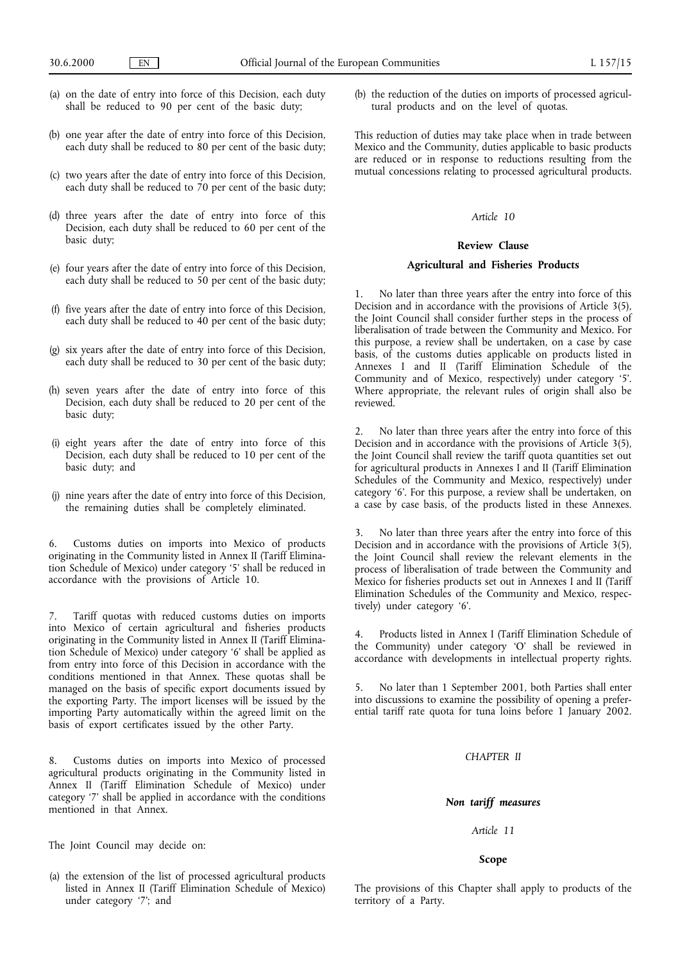- (a) on the date of entry into force of this Decision, each duty shall be reduced to 90 per cent of the basic duty;
- (b) one year after the date of entry into force of this Decision, each duty shall be reduced to 80 per cent of the basic duty;
- (c) two years after the date of entry into force of this Decision, each duty shall be reduced to 70 per cent of the basic duty;
- (d) three years after the date of entry into force of this Decision, each duty shall be reduced to 60 per cent of the basic duty;
- (e) four years after the date of entry into force of this Decision, each duty shall be reduced to 50 per cent of the basic duty;
- (f) five years after the date of entry into force of this Decision, each duty shall be reduced to 40 per cent of the basic duty;
- (g) six years after the date of entry into force of this Decision, each duty shall be reduced to 30 per cent of the basic duty;
- (h) seven years after the date of entry into force of this Decision, each duty shall be reduced to 20 per cent of the basic duty;
- (i) eight years after the date of entry into force of this Decision, each duty shall be reduced to 10 per cent of the basic duty; and
- (j) nine years after the date of entry into force of this Decision, the remaining duties shall be completely eliminated.

6. Customs duties on imports into Mexico of products originating in the Community listed in Annex II (Tariff Elimination Schedule of Mexico) under category '5' shall be reduced in accordance with the provisions of Article 10.

7. Tariff quotas with reduced customs duties on imports into Mexico of certain agricultural and fisheries products originating in the Community listed in Annex II (Tariff Elimination Schedule of Mexico) under category '6' shall be applied as from entry into force of this Decision in accordance with the conditions mentioned in that Annex. These quotas shall be managed on the basis of specific export documents issued by the exporting Party. The import licenses will be issued by the importing Party automatically within the agreed limit on the basis of export certificates issued by the other Party.

8. Customs duties on imports into Mexico of processed agricultural products originating in the Community listed in Annex II (Tariff Elimination Schedule of Mexico) under category '7' shall be applied in accordance with the conditions mentioned in that Annex.

The Joint Council may decide on:

(a) the extension of the list of processed agricultural products listed in Annex II (Tariff Elimination Schedule of Mexico) under category '7'; and

(b) the reduction of the duties on imports of processed agricultural products and on the level of quotas.

This reduction of duties may take place when in trade between Mexico and the Community, duties applicable to basic products are reduced or in response to reductions resulting from the mutual concessions relating to processed agricultural products.

#### *Article 10*

## **Review Clause**

#### **Agricultural and Fisheries Products**

No later than three years after the entry into force of this Decision and in accordance with the provisions of Article 3(5), the Joint Council shall consider further steps in the process of liberalisation of trade between the Community and Mexico. For this purpose, a review shall be undertaken, on a case by case basis, of the customs duties applicable on products listed in Annexes I and II (Tariff Elimination Schedule of the Community and of Mexico, respectively) under category '5'. Where appropriate, the relevant rules of origin shall also be reviewed.

2. No later than three years after the entry into force of this Decision and in accordance with the provisions of Article 3(5), the Joint Council shall review the tariff quota quantities set out for agricultural products in Annexes I and II (Tariff Elimination Schedules of the Community and Mexico, respectively) under category '6'. For this purpose, a review shall be undertaken, on a case by case basis, of the products listed in these Annexes.

3. No later than three years after the entry into force of this Decision and in accordance with the provisions of Article 3(5), the Joint Council shall review the relevant elements in the process of liberalisation of trade between the Community and Mexico for fisheries products set out in Annexes I and II (Tariff Elimination Schedules of the Community and Mexico, respectively) under category '6'.

4. Products listed in Annex I (Tariff Elimination Schedule of the Community) under category 'O' shall be reviewed in accordance with developments in intellectual property rights.

5. No later than 1 September 2001, both Parties shall enter into discussions to examine the possibility of opening a preferential tariff rate quota for tuna loins before 1 January 2002.

## *CHAPTER II*

#### *Non tariff measures*

# *Article 11*

## **Scope**

The provisions of this Chapter shall apply to products of the territory of a Party.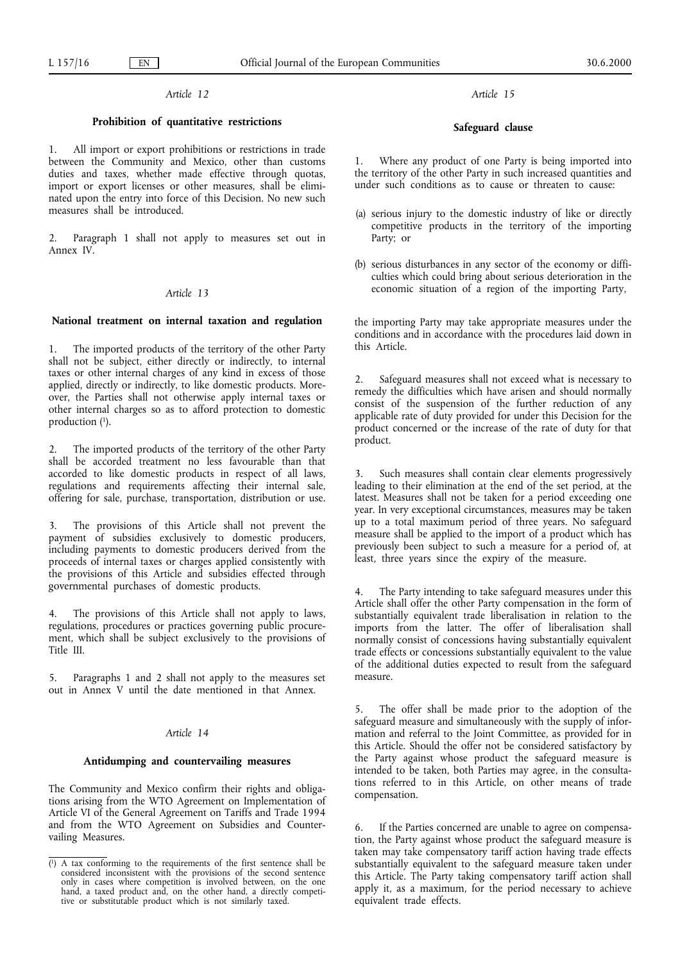# *Article 12*

# **Prohibition of quantitative restrictions**

All import or export prohibitions or restrictions in trade between the Community and Mexico, other than customs duties and taxes, whether made effective through quotas, import or export licenses or other measures, shall be eliminated upon the entry into force of this Decision. No new such measures shall be introduced.

2. Paragraph 1 shall not apply to measures set out in Annex IV.

## *Article 13*

#### **National treatment on internal taxation and regulation**

1. The imported products of the territory of the other Party shall not be subject, either directly or indirectly, to internal taxes or other internal charges of any kind in excess of those applied, directly or indirectly, to like domestic products. Moreover, the Parties shall not otherwise apply internal taxes or other internal charges so as to afford protection to domestic production  $(1)$ .

The imported products of the territory of the other Party shall be accorded treatment no less favourable than that accorded to like domestic products in respect of all laws, regulations and requirements affecting their internal sale, offering for sale, purchase, transportation, distribution or use.

3. The provisions of this Article shall not prevent the payment of subsidies exclusively to domestic producers, including payments to domestic producers derived from the proceeds of internal taxes or charges applied consistently with the provisions of this Article and subsidies effected through governmental purchases of domestic products.

The provisions of this Article shall not apply to laws, regulations, procedures or practices governing public procurement, which shall be subject exclusively to the provisions of Title III.

5. Paragraphs 1 and 2 shall not apply to the measures set out in Annex V until the date mentioned in that Annex.

## *Article 14*

#### **Antidumping and countervailing measures**

The Community and Mexico confirm their rights and obligations arising from the WTO Agreement on Implementation of Article VI of the General Agreement on Tariffs and Trade 1994 and from the WTO Agreement on Subsidies and Countervailing Measures.

# *Article 15*

#### **Safeguard clause**

1. Where any product of one Party is being imported into the territory of the other Party in such increased quantities and under such conditions as to cause or threaten to cause:

- (a) serious injury to the domestic industry of like or directly competitive products in the territory of the importing Party; or
- (b) serious disturbances in any sector of the economy or difficulties which could bring about serious deterioration in the economic situation of a region of the importing Party,

the importing Party may take appropriate measures under the conditions and in accordance with the procedures laid down in this Article.

2. Safeguard measures shall not exceed what is necessary to remedy the difficulties which have arisen and should normally consist of the suspension of the further reduction of any applicable rate of duty provided for under this Decision for the product concerned or the increase of the rate of duty for that product.

Such measures shall contain clear elements progressively leading to their elimination at the end of the set period, at the latest. Measures shall not be taken for a period exceeding one year. In very exceptional circumstances, measures may be taken up to a total maximum period of three years. No safeguard measure shall be applied to the import of a product which has previously been subject to such a measure for a period of, at least, three years since the expiry of the measure.

4. The Party intending to take safeguard measures under this Article shall offer the other Party compensation in the form of substantially equivalent trade liberalisation in relation to the imports from the latter. The offer of liberalisation shall normally consist of concessions having substantially equivalent trade effects or concessions substantially equivalent to the value of the additional duties expected to result from the safeguard measure.

5. The offer shall be made prior to the adoption of the safeguard measure and simultaneously with the supply of information and referral to the Joint Committee, as provided for in this Article. Should the offer not be considered satisfactory by the Party against whose product the safeguard measure is intended to be taken, both Parties may agree, in the consultations referred to in this Article, on other means of trade compensation.

6. If the Parties concerned are unable to agree on compensation, the Party against whose product the safeguard measure is taken may take compensatory tariff action having trade effects substantially equivalent to the safeguard measure taken under this Article. The Party taking compensatory tariff action shall apply it, as a maximum, for the period necessary to achieve equivalent trade effects.

<sup>(</sup> 1) A tax conforming to the requirements of the first sentence shall be considered inconsistent with the provisions of the second sentence only in cases where competition is involved between, on the one hand, a taxed product and, on the other hand, a directly competitive or substitutable product which is not similarly taxed.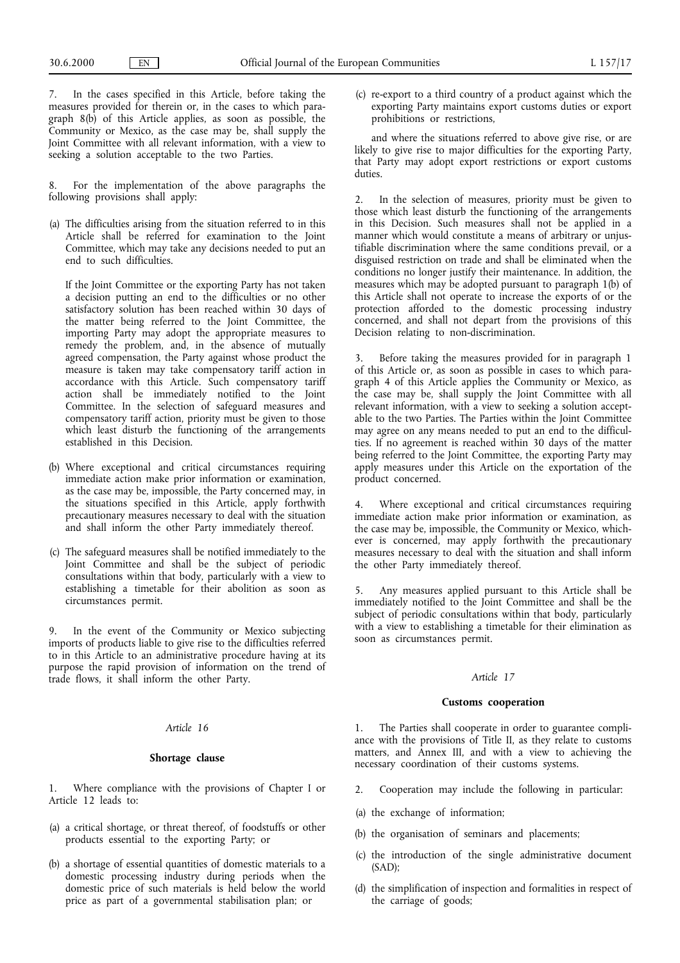7. In the cases specified in this Article, before taking the measures provided for therein or, in the cases to which paragraph 8(b) of this Article applies, as soon as possible, the Community or Mexico, as the case may be, shall supply the Joint Committee with all relevant information, with a view to seeking a solution acceptable to the two Parties.

For the implementation of the above paragraphs the following provisions shall apply:

(a) The difficulties arising from the situation referred to in this Article shall be referred for examination to the Joint Committee, which may take any decisions needed to put an end to such difficulties.

If the Joint Committee or the exporting Party has not taken a decision putting an end to the difficulties or no other satisfactory solution has been reached within 30 days of the matter being referred to the Joint Committee, the importing Party may adopt the appropriate measures to remedy the problem, and, in the absence of mutually agreed compensation, the Party against whose product the measure is taken may take compensatory tariff action in accordance with this Article. Such compensatory tariff action shall be immediately notified to the Joint Committee. In the selection of safeguard measures and compensatory tariff action, priority must be given to those which least disturb the functioning of the arrangements established in this Decision.

- (b) Where exceptional and critical circumstances requiring immediate action make prior information or examination, as the case may be, impossible, the Party concerned may, in the situations specified in this Article, apply forthwith precautionary measures necessary to deal with the situation and shall inform the other Party immediately thereof.
- (c) The safeguard measures shall be notified immediately to the Joint Committee and shall be the subject of periodic consultations within that body, particularly with a view to establishing a timetable for their abolition as soon as circumstances permit.

9. In the event of the Community or Mexico subjecting imports of products liable to give rise to the difficulties referred to in this Article to an administrative procedure having at its purpose the rapid provision of information on the trend of trade flows, it shall inform the other Party.

## *Article 16*

#### **Shortage clause**

Where compliance with the provisions of Chapter I or Article 12 leads to:

- (a) a critical shortage, or threat thereof, of foodstuffs or other products essential to the exporting Party; or
- (b) a shortage of essential quantities of domestic materials to a domestic processing industry during periods when the domestic price of such materials is held below the world price as part of a governmental stabilisation plan; or

(c) re-export to a third country of a product against which the exporting Party maintains export customs duties or export prohibitions or restrictions,

and where the situations referred to above give rise, or are likely to give rise to major difficulties for the exporting Party, that Party may adopt export restrictions or export customs duties.

2. In the selection of measures, priority must be given to those which least disturb the functioning of the arrangements in this Decision. Such measures shall not be applied in a manner which would constitute a means of arbitrary or unjustifiable discrimination where the same conditions prevail, or a disguised restriction on trade and shall be eliminated when the conditions no longer justify their maintenance. In addition, the measures which may be adopted pursuant to paragraph 1(b) of this Article shall not operate to increase the exports of or the protection afforded to the domestic processing industry concerned, and shall not depart from the provisions of this Decision relating to non-discrimination.

Before taking the measures provided for in paragraph 1 of this Article or, as soon as possible in cases to which paragraph 4of this Article applies the Community or Mexico, as the case may be, shall supply the Joint Committee with all relevant information, with a view to seeking a solution acceptable to the two Parties. The Parties within the Joint Committee may agree on any means needed to put an end to the difficulties. If no agreement is reached within 30 days of the matter being referred to the Joint Committee, the exporting Party may apply measures under this Article on the exportation of the product concerned.

4. Where exceptional and critical circumstances requiring immediate action make prior information or examination, as the case may be, impossible, the Community or Mexico, whichever is concerned, may apply forthwith the precautionary measures necessary to deal with the situation and shall inform the other Party immediately thereof.

5. Any measures applied pursuant to this Article shall be immediately notified to the Joint Committee and shall be the subject of periodic consultations within that body, particularly with a view to establishing a timetable for their elimination as soon as circumstances permit.

#### *Article 17*

#### **Customs cooperation**

1. The Parties shall cooperate in order to guarantee compliance with the provisions of Title II, as they relate to customs matters, and Annex III, and with a view to achieving the necessary coordination of their customs systems.

- 2. Cooperation may include the following in particular:
- (a) the exchange of information;
- (b) the organisation of seminars and placements;
- (c) the introduction of the single administrative document (SAD);
- (d) the simplification of inspection and formalities in respect of the carriage of goods;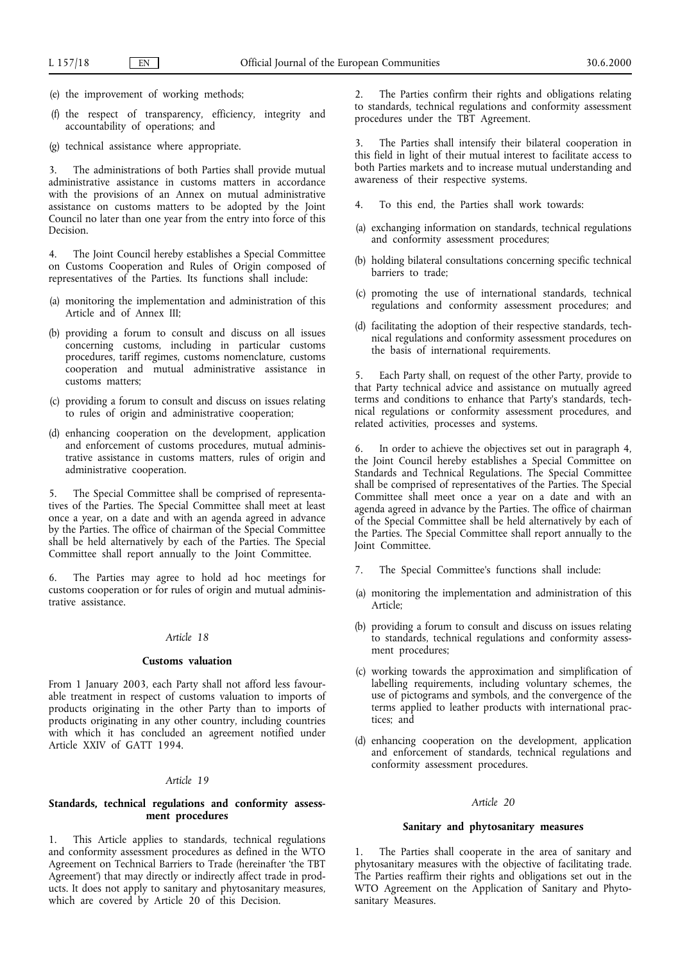- (e) the improvement of working methods;
- (f) the respect of transparency, efficiency, integrity and accountability of operations; and
- (g) technical assistance where appropriate.

3. The administrations of both Parties shall provide mutual administrative assistance in customs matters in accordance with the provisions of an Annex on mutual administrative assistance on customs matters to be adopted by the Joint Council no later than one year from the entry into force of this Decision.

4. The Joint Council hereby establishes a Special Committee on Customs Cooperation and Rules of Origin composed of representatives of the Parties. Its functions shall include:

- (a) monitoring the implementation and administration of this Article and of Annex III;
- (b) providing a forum to consult and discuss on all issues concerning customs, including in particular customs procedures, tariff regimes, customs nomenclature, customs cooperation and mutual administrative assistance in customs matters;
- (c) providing a forum to consult and discuss on issues relating to rules of origin and administrative cooperation;
- (d) enhancing cooperation on the development, application and enforcement of customs procedures, mutual administrative assistance in customs matters, rules of origin and administrative cooperation.

5. The Special Committee shall be comprised of representatives of the Parties. The Special Committee shall meet at least once a year, on a date and with an agenda agreed in advance by the Parties. The office of chairman of the Special Committee shall be held alternatively by each of the Parties. The Special Committee shall report annually to the Joint Committee.

6. The Parties may agree to hold ad hoc meetings for customs cooperation or for rules of origin and mutual administrative assistance.

## *Article 18*

#### **Customs valuation**

From 1 January 2003, each Party shall not afford less favourable treatment in respect of customs valuation to imports of products originating in the other Party than to imports of products originating in any other country, including countries with which it has concluded an agreement notified under Article XXIV of GATT 1994.

## *Article 19*

## **Standards, technical regulations and conformity assessment procedures**

1. This Article applies to standards, technical regulations and conformity assessment procedures as defined in the WTO Agreement on Technical Barriers to Trade (hereinafter 'the TBT Agreement') that may directly or indirectly affect trade in products. It does not apply to sanitary and phytosanitary measures, which are covered by Article 20 of this Decision.

2. The Parties confirm their rights and obligations relating to standards, technical regulations and conformity assessment procedures under the TBT Agreement.

3. The Parties shall intensify their bilateral cooperation in this field in light of their mutual interest to facilitate access to both Parties markets and to increase mutual understanding and awareness of their respective systems.

- To this end, the Parties shall work towards:
- (a) exchanging information on standards, technical regulations and conformity assessment procedures;
- (b) holding bilateral consultations concerning specific technical barriers to trade;
- (c) promoting the use of international standards, technical regulations and conformity assessment procedures; and
- (d) facilitating the adoption of their respective standards, technical regulations and conformity assessment procedures on the basis of international requirements.

5. Each Party shall, on request of the other Party, provide to that Party technical advice and assistance on mutually agreed terms and conditions to enhance that Party's standards, technical regulations or conformity assessment procedures, and related activities, processes and systems.

6. In order to achieve the objectives set out in paragraph 4, the Joint Council hereby establishes a Special Committee on Standards and Technical Regulations. The Special Committee shall be comprised of representatives of the Parties. The Special Committee shall meet once a year on a date and with an agenda agreed in advance by the Parties. The office of chairman of the Special Committee shall be held alternatively by each of the Parties. The Special Committee shall report annually to the Joint Committee.

- 7. The Special Committee's functions shall include:
- (a) monitoring the implementation and administration of this Article;
- (b) providing a forum to consult and discuss on issues relating to standards, technical regulations and conformity assessment procedures;
- (c) working towards the approximation and simplification of labelling requirements, including voluntary schemes, the use of pictograms and symbols, and the convergence of the terms applied to leather products with international practices; and
- (d) enhancing cooperation on the development, application and enforcement of standards, technical regulations and conformity assessment procedures.

#### *Article 20*

#### **Sanitary and phytosanitary measures**

The Parties shall cooperate in the area of sanitary and phytosanitary measures with the objective of facilitating trade. The Parties reaffirm their rights and obligations set out in the WTO Agreement on the Application of Sanitary and Phytosanitary Measures.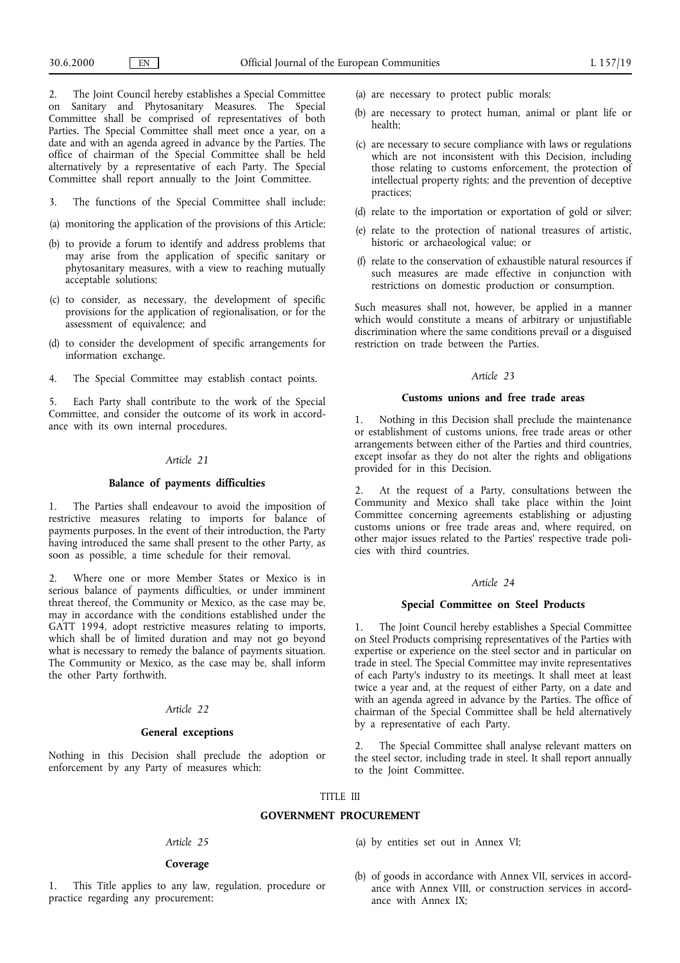2. The Joint Council hereby establishes a Special Committee on Sanitary and Phytosanitary Measures. The Special Committee shall be comprised of representatives of both Parties. The Special Committee shall meet once a year, on a date and with an agenda agreed in advance by the Parties. The office of chairman of the Special Committee shall be held alternatively by a representative of each Party. The Special Committee shall report annually to the Joint Committee.

3. The functions of the Special Committee shall include:

- (a) monitoring the application of the provisions of this Article;
- (b) to provide a forum to identify and address problems that may arise from the application of specific sanitary or phytosanitary measures, with a view to reaching mutually acceptable solutions;
- (c) to consider, as necessary, the development of specific provisions for the application of regionalisation, or for the assessment of equivalence; and
- (d) to consider the development of specific arrangements for information exchange.
- 4. The Special Committee may establish contact points.

5. Each Party shall contribute to the work of the Special Committee, and consider the outcome of its work in accordance with its own internal procedures.

## *Article 21*

## **Balance of payments difficulties**

1. The Parties shall endeavour to avoid the imposition of restrictive measures relating to imports for balance of payments purposes. In the event of their introduction, the Party having introduced the same shall present to the other Party, as soon as possible, a time schedule for their removal.

2. Where one or more Member States or Mexico is in serious balance of payments difficulties, or under imminent threat thereof, the Community or Mexico, as the case may be, may in accordance with the conditions established under the GATT 1994, adopt restrictive measures relating to imports, which shall be of limited duration and may not go beyond what is necessary to remedy the balance of payments situation. The Community or Mexico, as the case may be, shall inform the other Party forthwith.

## *Article 22*

## **General exceptions**

Nothing in this Decision shall preclude the adoption or enforcement by any Party of measures which:

- (a) are necessary to protect public morals;
- (b) are necessary to protect human, animal or plant life or health;
- (c) are necessary to secure compliance with laws or regulations which are not inconsistent with this Decision, including those relating to customs enforcement, the protection of intellectual property rights; and the prevention of deceptive practices;
- (d) relate to the importation or exportation of gold or silver;
- (e) relate to the protection of national treasures of artistic, historic or archaeological value; or
- (f) relate to the conservation of exhaustible natural resources if such measures are made effective in conjunction with restrictions on domestic production or consumption.

Such measures shall not, however, be applied in a manner which would constitute a means of arbitrary or unjustifiable discrimination where the same conditions prevail or a disguised restriction on trade between the Parties.

## *Article 23*

#### **Customs unions and free trade areas**

1. Nothing in this Decision shall preclude the maintenance or establishment of customs unions, free trade areas or other arrangements between either of the Parties and third countries, except insofar as they do not alter the rights and obligations provided for in this Decision.

2. At the request of a Party, consultations between the Community and Mexico shall take place within the Joint Committee concerning agreements establishing or adjusting customs unions or free trade areas and, where required, on other major issues related to the Parties' respective trade policies with third countries.

#### *Article 24*

#### **Special Committee on Steel Products**

1. The Joint Council hereby establishes a Special Committee on Steel Products comprising representatives of the Parties with expertise or experience on the steel sector and in particular on trade in steel. The Special Committee may invite representatives of each Party's industry to its meetings. It shall meet at least twice a year and, at the request of either Party, on a date and with an agenda agreed in advance by the Parties. The office of chairman of the Special Committee shall be held alternatively by a representative of each Party.

2. The Special Committee shall analyse relevant matters on the steel sector, including trade in steel. It shall report annually to the Joint Committee.

### TITLE III

#### **GOVERNMENT PROCUREMENT**

#### *Article 25*

## **Coverage**

1. This Title applies to any law, regulation, procedure or practice regarding any procurement:

- (a) by entities set out in Annex VI;
- (b) of goods in accordance with Annex VII, services in accordance with Annex VIII, or construction services in accordance with Annex IX;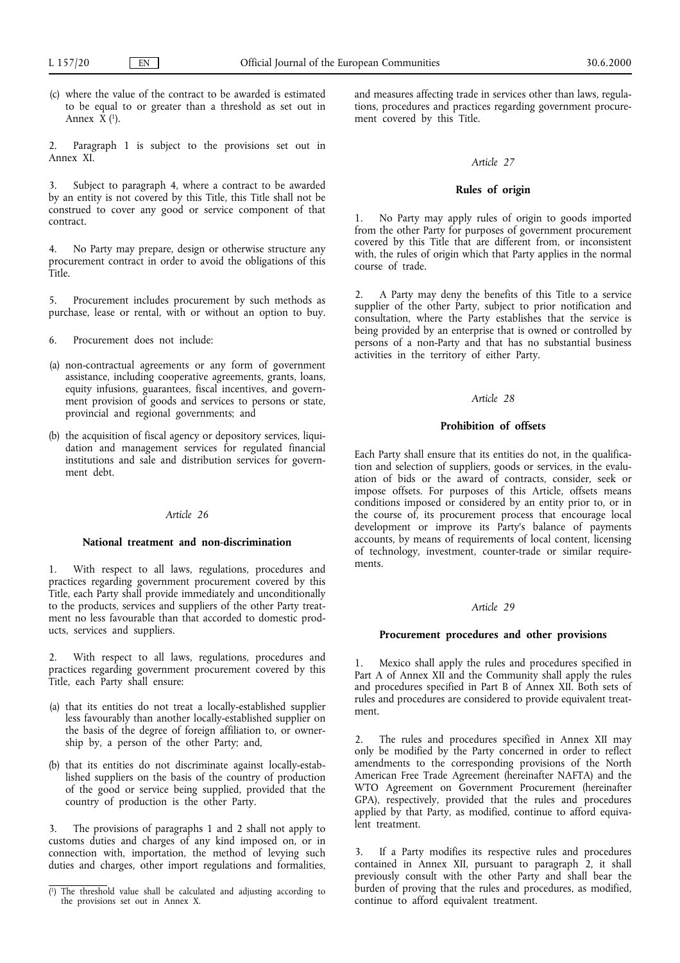- (c) where the value of the contract to be awarded is estimated to be equal to or greater than a threshold as set out in Annex  $\hat{X}$  (<sup>1</sup>).
- 2. Paragraph 1 is subject to the provisions set out in Annex XI.

3. Subject to paragraph 4, where a contract to be awarded by an entity is not covered by this Title, this Title shall not be construed to cover any good or service component of that contract.

4. No Party may prepare, design or otherwise structure any procurement contract in order to avoid the obligations of this Title.

5. Procurement includes procurement by such methods as purchase, lease or rental, with or without an option to buy.

6. Procurement does not include:

- (a) non-contractual agreements or any form of government assistance, including cooperative agreements, grants, loans, equity infusions, guarantees, fiscal incentives, and government provision of goods and services to persons or state, provincial and regional governments; and
- (b) the acquisition of fiscal agency or depository services, liquidation and management services for regulated financial institutions and sale and distribution services for government debt.

#### *Article 26*

#### **National treatment and non-discrimination**

1. With respect to all laws, regulations, procedures and practices regarding government procurement covered by this Title, each Party shall provide immediately and unconditionally to the products, services and suppliers of the other Party treatment no less favourable than that accorded to domestic products, services and suppliers.

With respect to all laws, regulations, procedures and practices regarding government procurement covered by this Title, each Party shall ensure:

- (a) that its entities do not treat a locally-established supplier less favourably than another locally-established supplier on the basis of the degree of foreign affiliation to, or ownership by, a person of the other Party; and,
- (b) that its entities do not discriminate against locally-established suppliers on the basis of the country of production of the good or service being supplied, provided that the country of production is the other Party.

3. The provisions of paragraphs 1 and 2 shall not apply to customs duties and charges of any kind imposed on, or in connection with, importation, the method of levying such duties and charges, other import regulations and formalities,

and measures affecting trade in services other than laws, regulations, procedures and practices regarding government procurement covered by this Title.

## *Article 27*

## **Rules of origin**

1. No Party may apply rules of origin to goods imported from the other Party for purposes of government procurement covered by this Title that are different from, or inconsistent with, the rules of origin which that Party applies in the normal course of trade.

2. A Party may deny the benefits of this Title to a service supplier of the other Party, subject to prior notification and consultation, where the Party establishes that the service is being provided by an enterprise that is owned or controlled by persons of a non-Party and that has no substantial business activities in the territory of either Party.

## *Article 28*

#### **Prohibition of offsets**

Each Party shall ensure that its entities do not, in the qualification and selection of suppliers, goods or services, in the evaluation of bids or the award of contracts, consider, seek or impose offsets. For purposes of this Article, offsets means conditions imposed or considered by an entity prior to, or in the course of, its procurement process that encourage local development or improve its Party's balance of payments accounts, by means of requirements of local content, licensing of technology, investment, counter-trade or similar requirements.

## *Article 29*

#### **Procurement procedures and other provisions**

1. Mexico shall apply the rules and procedures specified in Part A of Annex XII and the Community shall apply the rules and procedures specified in Part B of Annex XII. Both sets of rules and procedures are considered to provide equivalent treatment.

2. The rules and procedures specified in Annex XII may only be modified by the Party concerned in order to reflect amendments to the corresponding provisions of the North American Free Trade Agreement (hereinafter NAFTA) and the WTO Agreement on Government Procurement (hereinafter GPA), respectively, provided that the rules and procedures applied by that Party, as modified, continue to afford equivalent treatment.

If a Party modifies its respective rules and procedures contained in Annex XII, pursuant to paragraph 2, it shall previously consult with the other Party and shall bear the burden of proving that the rules and procedures, as modified,

<sup>(</sup>a) The threshold value shall be calculated and adjusting according to the provisions set out in Annex X.<br>
continue to afford equivalent treatment. the provisions set out in Annex X.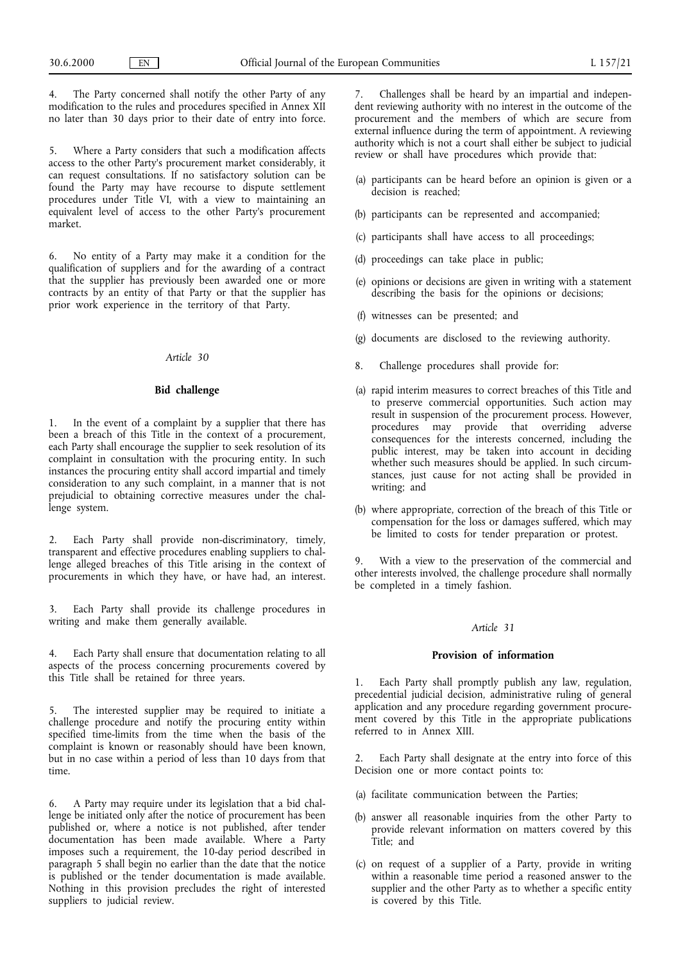The Party concerned shall notify the other Party of any modification to the rules and procedures specified in Annex XII no later than 30 days prior to their date of entry into force.

5. Where a Party considers that such a modification affects access to the other Party's procurement market considerably, it can request consultations. If no satisfactory solution can be found the Party may have recourse to dispute settlement procedures under Title VI, with a view to maintaining an equivalent level of access to the other Party's procurement market.

6. No entity of a Party may make it a condition for the qualification of suppliers and for the awarding of a contract that the supplier has previously been awarded one or more contracts by an entity of that Party or that the supplier has prior work experience in the territory of that Party.

## *Article 30*

#### **Bid challenge**

In the event of a complaint by a supplier that there has been a breach of this Title in the context of a procurement, each Party shall encourage the supplier to seek resolution of its complaint in consultation with the procuring entity. In such instances the procuring entity shall accord impartial and timely consideration to any such complaint, in a manner that is not prejudicial to obtaining corrective measures under the challenge system.

2. Each Party shall provide non-discriminatory, timely, transparent and effective procedures enabling suppliers to challenge alleged breaches of this Title arising in the context of procurements in which they have, or have had, an interest.

3. Each Party shall provide its challenge procedures in writing and make them generally available.

4. Each Party shall ensure that documentation relating to all aspects of the process concerning procurements covered by this Title shall be retained for three years.

The interested supplier may be required to initiate a challenge procedure and notify the procuring entity within specified time-limits from the time when the basis of the complaint is known or reasonably should have been known, but in no case within a period of less than 10 days from that time.

6. A Party may require under its legislation that a bid challenge be initiated only after the notice of procurement has been published or, where a notice is not published, after tender documentation has been made available. Where a Party imposes such a requirement, the 10-day period described in paragraph 5 shall begin no earlier than the date that the notice is published or the tender documentation is made available. Nothing in this provision precludes the right of interested suppliers to judicial review.

7. Challenges shall be heard by an impartial and independent reviewing authority with no interest in the outcome of the procurement and the members of which are secure from external influence during the term of appointment. A reviewing authority which is not a court shall either be subject to judicial review or shall have procedures which provide that:

- (a) participants can be heard before an opinion is given or a decision is reached;
- (b) participants can be represented and accompanied;
- (c) participants shall have access to all proceedings;
- (d) proceedings can take place in public;
- (e) opinions or decisions are given in writing with a statement describing the basis for the opinions or decisions;
- (f) witnesses can be presented; and
- (g) documents are disclosed to the reviewing authority.
- 8. Challenge procedures shall provide for:
- (a) rapid interim measures to correct breaches of this Title and to preserve commercial opportunities. Such action may result in suspension of the procurement process. However, procedures may provide that overriding adverse consequences for the interests concerned, including the public interest, may be taken into account in deciding whether such measures should be applied. In such circumstances, just cause for not acting shall be provided in writing; and
- (b) where appropriate, correction of the breach of this Title or compensation for the loss or damages suffered, which may be limited to costs for tender preparation or protest.

With a view to the preservation of the commercial and other interests involved, the challenge procedure shall normally be completed in a timely fashion.

## *Article 31*

#### **Provision of information**

1. Each Party shall promptly publish any law, regulation, precedential judicial decision, administrative ruling of general application and any procedure regarding government procurement covered by this Title in the appropriate publications referred to in Annex XIII.

2. Each Party shall designate at the entry into force of this Decision one or more contact points to:

- (a) facilitate communication between the Parties;
- (b) answer all reasonable inquiries from the other Party to provide relevant information on matters covered by this Title; and
- (c) on request of a supplier of a Party, provide in writing within a reasonable time period a reasoned answer to the supplier and the other Party as to whether a specific entity is covered by this Title.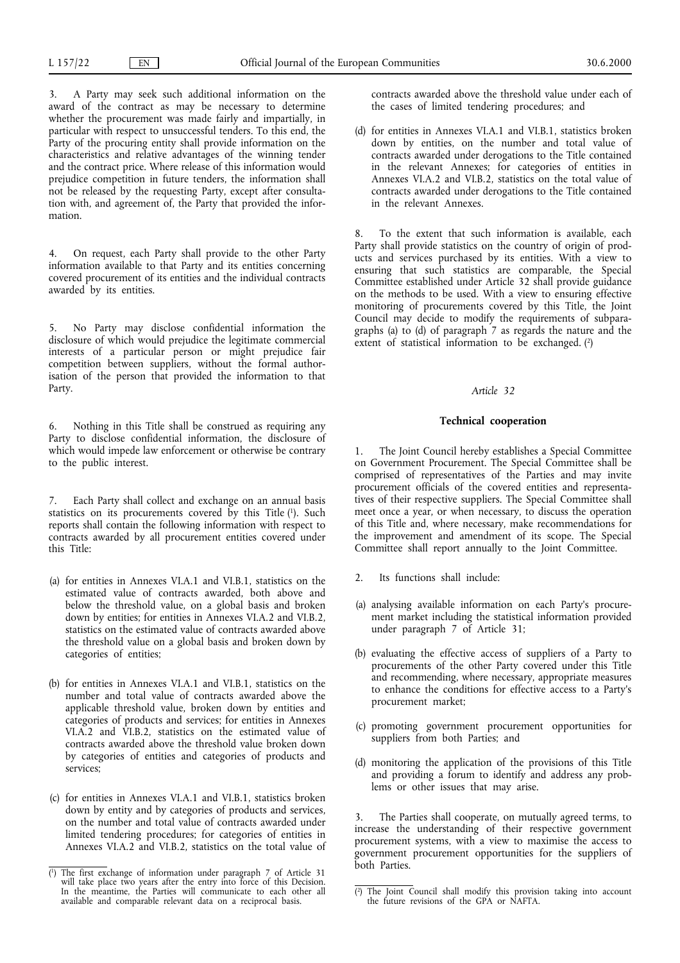3. A Party may seek such additional information on the award of the contract as may be necessary to determine whether the procurement was made fairly and impartially, in particular with respect to unsuccessful tenders. To this end, the Party of the procuring entity shall provide information on the characteristics and relative advantages of the winning tender and the contract price. Where release of this information would prejudice competition in future tenders, the information shall not be released by the requesting Party, except after consultation with, and agreement of, the Party that provided the information.

4. On request, each Party shall provide to the other Party information available to that Party and its entities concerning covered procurement of its entities and the individual contracts awarded by its entities.

5. No Party may disclose confidential information the disclosure of which would prejudice the legitimate commercial interests of a particular person or might prejudice fair competition between suppliers, without the formal authorisation of the person that provided the information to that Party.

6. Nothing in this Title shall be construed as requiring any Party to disclose confidential information, the disclosure of which would impede law enforcement or otherwise be contrary to the public interest.

7. Each Party shall collect and exchange on an annual basis statistics on its procurements covered by this Title  $(1)$ . Such reports shall contain the following information with respect to contracts awarded by all procurement entities covered under this Title:

- (a) for entities in Annexes VI.A.1 and VI.B.1, statistics on the estimated value of contracts awarded, both above and below the threshold value, on a global basis and broken down by entities; for entities in Annexes VI.A.2 and VI.B.2, statistics on the estimated value of contracts awarded above the threshold value on a global basis and broken down by categories of entities;
- (b) for entities in Annexes VI.A.1 and VI.B.1, statistics on the number and total value of contracts awarded above the applicable threshold value, broken down by entities and categories of products and services; for entities in Annexes VI.A.2 and VI.B.2, statistics on the estimated value of contracts awarded above the threshold value broken down by categories of entities and categories of products and services;
- (c) for entities in Annexes VI.A.1 and VI.B.1, statistics broken down by entity and by categories of products and services, on the number and total value of contracts awarded under limited tendering procedures; for categories of entities in Annexes VI.A.2 and VI.B.2, statistics on the total value of

contracts awarded above the threshold value under each of the cases of limited tendering procedures; and

(d) for entities in Annexes VI.A.1 and VI.B.1, statistics broken down by entities, on the number and total value of contracts awarded under derogations to the Title contained in the relevant Annexes; for categories of entities in Annexes VI.A.2 and VI.B.2, statistics on the total value of contracts awarded under derogations to the Title contained in the relevant Annexes.

8. To the extent that such information is available, each Party shall provide statistics on the country of origin of products and services purchased by its entities. With a view to ensuring that such statistics are comparable, the Special Committee established under Article 32 shall provide guidance on the methods to be used. With a view to ensuring effective monitoring of procurements covered by this Title, the Joint Council may decide to modify the requirements of subparagraphs (a) to (d) of paragraph 7 as regards the nature and the extent of statistical information to be exchanged. (2)

#### *Article 32*

#### **Technical cooperation**

1. The Joint Council hereby establishes a Special Committee on Government Procurement. The Special Committee shall be comprised of representatives of the Parties and may invite procurement officials of the covered entities and representatives of their respective suppliers. The Special Committee shall meet once a year, or when necessary, to discuss the operation of this Title and, where necessary, make recommendations for the improvement and amendment of its scope. The Special Committee shall report annually to the Joint Committee.

- 2. Its functions shall include:
- (a) analysing available information on each Party's procurement market including the statistical information provided under paragraph 7 of Article 31;
- (b) evaluating the effective access of suppliers of a Party to procurements of the other Party covered under this Title and recommending, where necessary, appropriate measures to enhance the conditions for effective access to a Party's procurement market;
- (c) promoting government procurement opportunities for suppliers from both Parties; and
- (d) monitoring the application of the provisions of this Title and providing a forum to identify and address any problems or other issues that may arise.

3. The Parties shall cooperate, on mutually agreed terms, to increase the understanding of their respective government procurement systems, with a view to maximise the access to government procurement opportunities for the suppliers of both Parties.

<sup>(</sup> 1) The first exchange of information under paragraph 7 of Article 31 will take place two years after the entry into force of this Decision. In the meantime, the Parties will communicate to each other all available and comparable relevant data on a reciprocal basis.

<sup>(</sup> 2) The Joint Council shall modify this provision taking into account the future revisions of the GPA or NAFTA.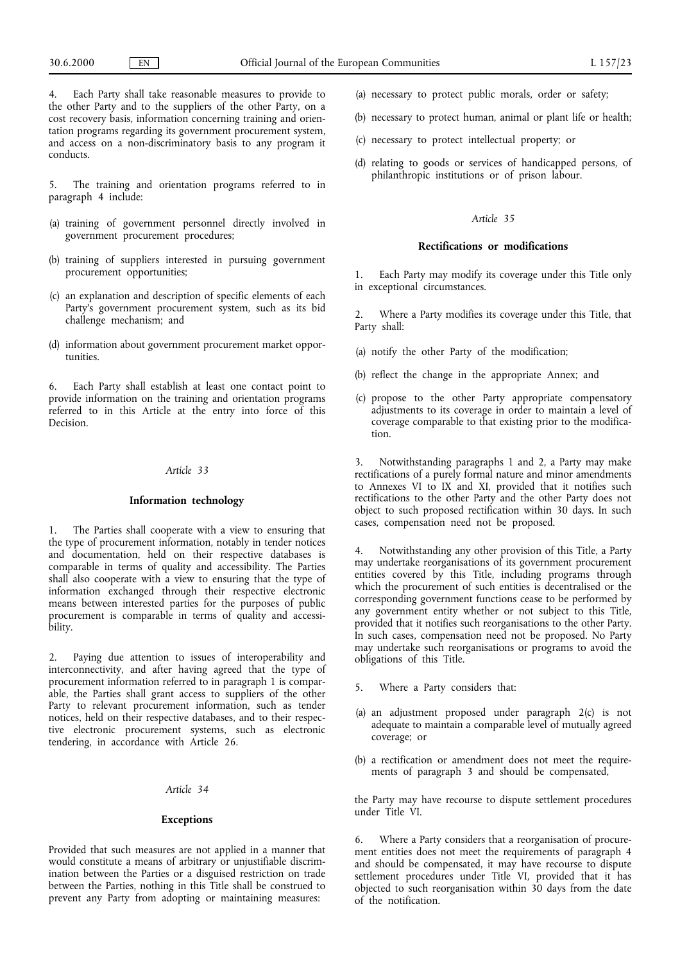4. Each Party shall take reasonable measures to provide to the other Party and to the suppliers of the other Party, on a cost recovery basis, information concerning training and orientation programs regarding its government procurement system, and access on a non-discriminatory basis to any program it conducts.

The training and orientation programs referred to in paragraph 4 include:

- (a) training of government personnel directly involved in government procurement procedures;
- (b) training of suppliers interested in pursuing government procurement opportunities;
- (c) an explanation and description of specific elements of each Party's government procurement system, such as its bid challenge mechanism; and
- (d) information about government procurement market opportunities.

6. Each Party shall establish at least one contact point to provide information on the training and orientation programs referred to in this Article at the entry into force of this Decision.

## *Article 33*

#### **Information technology**

1. The Parties shall cooperate with a view to ensuring that the type of procurement information, notably in tender notices and documentation, held on their respective databases is comparable in terms of quality and accessibility. The Parties shall also cooperate with a view to ensuring that the type of information exchanged through their respective electronic means between interested parties for the purposes of public procurement is comparable in terms of quality and accessibility.

2. Paying due attention to issues of interoperability and interconnectivity, and after having agreed that the type of procurement information referred to in paragraph 1 is comparable, the Parties shall grant access to suppliers of the other Party to relevant procurement information, such as tender notices, held on their respective databases, and to their respective electronic procurement systems, such as electronic tendering, in accordance with Article 26.

## *Article 34*

## **Exceptions**

Provided that such measures are not applied in a manner that would constitute a means of arbitrary or unjustifiable discrimination between the Parties or a disguised restriction on trade between the Parties, nothing in this Title shall be construed to prevent any Party from adopting or maintaining measures:

- (a) necessary to protect public morals, order or safety;
- (b) necessary to protect human, animal or plant life or health;
- (c) necessary to protect intellectual property; or
- (d) relating to goods or services of handicapped persons, of philanthropic institutions or of prison labour.

## *Article 35*

#### **Rectifications or modifications**

1. Each Party may modify its coverage under this Title only in exceptional circumstances.

2. Where a Party modifies its coverage under this Title, that Party shall:

- (a) notify the other Party of the modification;
- (b) reflect the change in the appropriate Annex; and
- (c) propose to the other Party appropriate compensatory adjustments to its coverage in order to maintain a level of coverage comparable to that existing prior to the modification.

3. Notwithstanding paragraphs 1 and 2, a Party may make rectifications of a purely formal nature and minor amendments to Annexes VI to IX and XI, provided that it notifies such rectifications to the other Party and the other Party does not object to such proposed rectification within 30 days. In such cases, compensation need not be proposed.

4. Notwithstanding any other provision of this Title, a Party may undertake reorganisations of its government procurement entities covered by this Title, including programs through which the procurement of such entities is decentralised or the corresponding government functions cease to be performed by any government entity whether or not subject to this Title, provided that it notifies such reorganisations to the other Party. In such cases, compensation need not be proposed. No Party may undertake such reorganisations or programs to avoid the obligations of this Title.

- 5. Where a Party considers that:
- (a) an adjustment proposed under paragraph 2(c) is not adequate to maintain a comparable level of mutually agreed coverage; or
- (b) a rectification or amendment does not meet the requirements of paragraph 3 and should be compensated,

the Party may have recourse to dispute settlement procedures under Title VI.

6. Where a Party considers that a reorganisation of procurement entities does not meet the requirements of paragraph 4 and should be compensated, it may have recourse to dispute settlement procedures under Title VI, provided that it has objected to such reorganisation within 30 days from the date of the notification.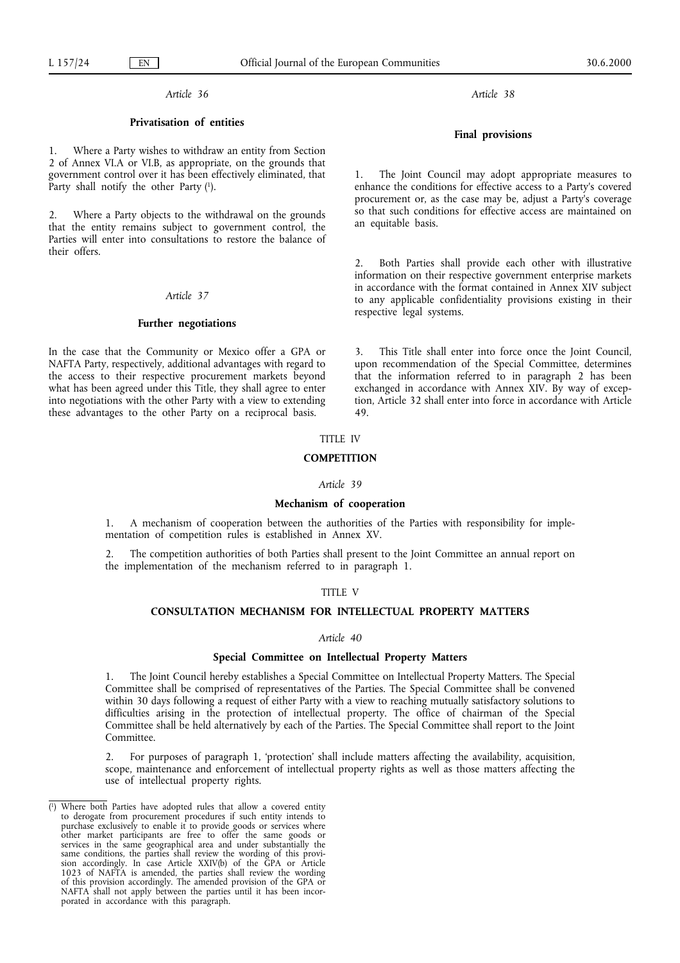## *Article 36*

## **Privatisation of entities**

Where a Party wishes to withdraw an entity from Section 2 of Annex VI.A or VI.B, as appropriate, on the grounds that government control over it has been effectively eliminated, that Party shall notify the other Party (1).

2. Where a Party objects to the withdrawal on the grounds that the entity remains subject to government control, the Parties will enter into consultations to restore the balance of their offers.

#### *Article 37*

#### **Further negotiations**

In the case that the Community or Mexico offer a GPA or NAFTA Party, respectively, additional advantages with regard to the access to their respective procurement markets beyond what has been agreed under this Title, they shall agree to enter into negotiations with the other Party with a view to extending these advantages to the other Party on a reciprocal basis.

# TITLE IV

## **COMPETITION**

#### *Article 39*

#### **Mechanism of cooperation**

1. A mechanism of cooperation between the authorities of the Parties with responsibility for implementation of competition rules is established in Annex XV.

2. The competition authorities of both Parties shall present to the Joint Committee an annual report on the implementation of the mechanism referred to in paragraph 1.

#### TITLE V

## **CONSULTATION MECHANISM FOR INTELLECTUAL PROPERTY MATTERS**

#### *Article 40*

#### **Special Committee on Intellectual Property Matters**

1. The Joint Council hereby establishes a Special Committee on Intellectual Property Matters. The Special Committee shall be comprised of representatives of the Parties. The Special Committee shall be convened within 30 days following a request of either Party with a view to reaching mutually satisfactory solutions to difficulties arising in the protection of intellectual property. The office of chairman of the Special Committee shall be held alternatively by each of the Parties. The Special Committee shall report to the Joint Committee.

2. For purposes of paragraph 1, 'protection' shall include matters affecting the availability, acquisition, scope, maintenance and enforcement of intellectual property rights as well as those matters affecting the use of intellectual property rights.

*Article 38*

## **Final provisions**

1. The Joint Council may adopt appropriate measures to enhance the conditions for effective access to a Party's covered procurement or, as the case may be, adjust a Party's coverage so that such conditions for effective access are maintained on an equitable basis.

Both Parties shall provide each other with illustrative information on their respective government enterprise markets in accordance with the format contained in Annex XIV subject to any applicable confidentiality provisions existing in their respective legal systems.

3. This Title shall enter into force once the Joint Council, upon recommendation of the Special Committee, determines that the information referred to in paragraph 2 has been exchanged in accordance with Annex XIV. By way of exception, Article 32 shall enter into force in accordance with Article 49.

<sup>(</sup> 1) Where both Parties have adopted rules that allow a covered entity to derogate from procurement procedures if such entity intends to purchase exclusively to enable it to provide goods or services where other market participants are free to offer the same goods or services in the same geographical area and under substantially the same conditions, the parties shall review the wording of this provision accordingly. In case Article XXIV(b) of the GPA or Article 1023 of NAFTA is amended, the parties shall review the wording of this provision accordingly. The amended provision of the GPA or NAFTA shall not apply between the parties until it has been incorporated in accordance with this paragraph.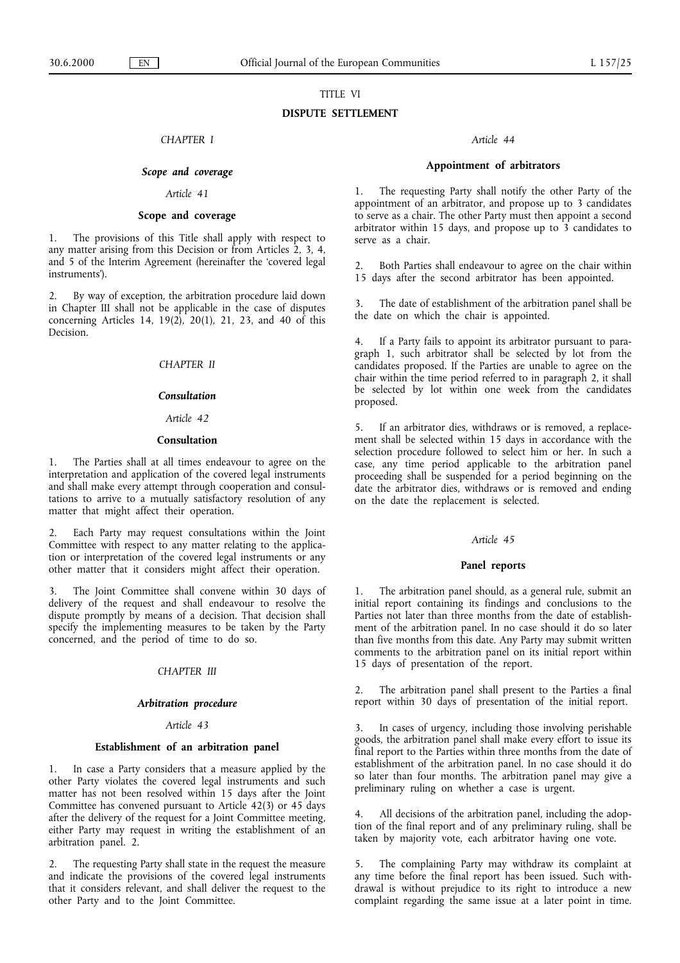# TITLE VI

## **DISPUTE SETTLEMENT**

## *CHAPTER I*

## *Scope and coverage*

## *Article 41*

## **Scope and coverage**

1. The provisions of this Title shall apply with respect to any matter arising from this Decision or from Articles 2, 3, 4, and 5 of the Interim Agreement (hereinafter the 'covered legal instruments').

2. By way of exception, the arbitration procedure laid down in Chapter III shall not be applicable in the case of disputes concerning Articles 14, 19(2), 20(1), 21, 23, and 40 of this Decision.

# *CHAPTER II*

## *Consultation*

## *Article 42*

#### **Consultation**

1. The Parties shall at all times endeavour to agree on the interpretation and application of the covered legal instruments and shall make every attempt through cooperation and consultations to arrive to a mutually satisfactory resolution of any matter that might affect their operation.

2. Each Party may request consultations within the Joint Committee with respect to any matter relating to the application or interpretation of the covered legal instruments or any other matter that it considers might affect their operation.

3. The Joint Committee shall convene within 30 days of delivery of the request and shall endeavour to resolve the dispute promptly by means of a decision. That decision shall specify the implementing measures to be taken by the Party concerned, and the period of time to do so.

## *CHAPTER III*

#### *Arbitration procedure*

#### *Article 43*

#### **Establishment of an arbitration panel**

In case a Party considers that a measure applied by the other Party violates the covered legal instruments and such matter has not been resolved within 15 days after the Joint Committee has convened pursuant to Article 42(3) or 45 days after the delivery of the request for a Joint Committee meeting, either Party may request in writing the establishment of an arbitration panel. 2.

2. The requesting Party shall state in the request the measure and indicate the provisions of the covered legal instruments that it considers relevant, and shall deliver the request to the other Party and to the Joint Committee.

#### *Article 44*

## **Appointment of arbitrators**

1. The requesting Party shall notify the other Party of the appointment of an arbitrator, and propose up to 3 candidates to serve as a chair. The other Party must then appoint a second arbitrator within 15 days, and propose up to 3 candidates to serve as a chair.

2. Both Parties shall endeavour to agree on the chair within 15 days after the second arbitrator has been appointed.

3. The date of establishment of the arbitration panel shall be the date on which the chair is appointed.

4. If a Party fails to appoint its arbitrator pursuant to paragraph 1, such arbitrator shall be selected by lot from the candidates proposed. If the Parties are unable to agree on the chair within the time period referred to in paragraph 2, it shall be selected by lot within one week from the candidates proposed.

5. If an arbitrator dies, withdraws or is removed, a replacement shall be selected within 15 days in accordance with the selection procedure followed to select him or her. In such a case, any time period applicable to the arbitration panel proceeding shall be suspended for a period beginning on the date the arbitrator dies, withdraws or is removed and ending on the date the replacement is selected.

#### *Article 45*

#### **Panel reports**

1. The arbitration panel should, as a general rule, submit an initial report containing its findings and conclusions to the Parties not later than three months from the date of establishment of the arbitration panel. In no case should it do so later than five months from this date. Any Party may submit written comments to the arbitration panel on its initial report within 15 days of presentation of the report.

2. The arbitration panel shall present to the Parties a final report within 30 days of presentation of the initial report.

3. In cases of urgency, including those involving perishable goods, the arbitration panel shall make every effort to issue its final report to the Parties within three months from the date of establishment of the arbitration panel. In no case should it do so later than four months. The arbitration panel may give a preliminary ruling on whether a case is urgent.

All decisions of the arbitration panel, including the adoption of the final report and of any preliminary ruling, shall be taken by majority vote, each arbitrator having one vote.

5. The complaining Party may withdraw its complaint at any time before the final report has been issued. Such withdrawal is without prejudice to its right to introduce a new complaint regarding the same issue at a later point in time.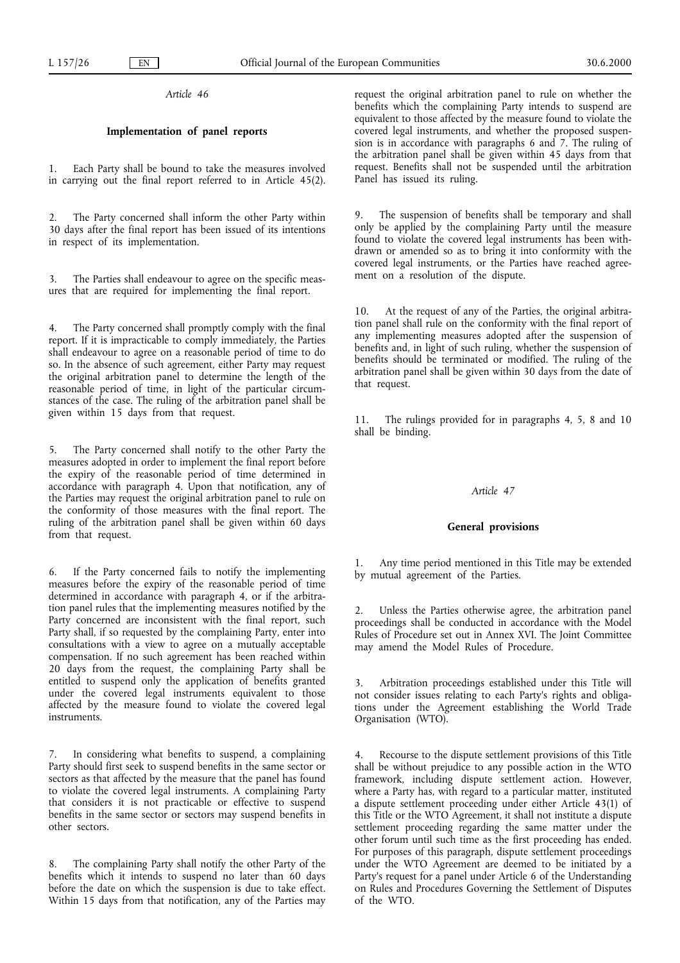*Article 46*

## **Implementation of panel reports**

1. Each Party shall be bound to take the measures involved in carrying out the final report referred to in Article 45(2).

2. The Party concerned shall inform the other Party within 30 days after the final report has been issued of its intentions in respect of its implementation.

3. The Parties shall endeavour to agree on the specific measures that are required for implementing the final report.

4. The Party concerned shall promptly comply with the final report. If it is impracticable to comply immediately, the Parties shall endeavour to agree on a reasonable period of time to do so. In the absence of such agreement, either Party may request the original arbitration panel to determine the length of the reasonable period of time, in light of the particular circumstances of the case. The ruling of the arbitration panel shall be given within 15 days from that request.

5. The Party concerned shall notify to the other Party the measures adopted in order to implement the final report before the expiry of the reasonable period of time determined in accordance with paragraph 4. Upon that notification, any of the Parties may request the original arbitration panel to rule on the conformity of those measures with the final report. The ruling of the arbitration panel shall be given within 60 days from that request.

6. If the Party concerned fails to notify the implementing measures before the expiry of the reasonable period of time determined in accordance with paragraph 4, or if the arbitration panel rules that the implementing measures notified by the Party concerned are inconsistent with the final report, such Party shall, if so requested by the complaining Party, enter into consultations with a view to agree on a mutually acceptable compensation. If no such agreement has been reached within 20 days from the request, the complaining Party shall be entitled to suspend only the application of benefits granted under the covered legal instruments equivalent to those affected by the measure found to violate the covered legal instruments.

7. In considering what benefits to suspend, a complaining Party should first seek to suspend benefits in the same sector or sectors as that affected by the measure that the panel has found to violate the covered legal instruments. A complaining Party that considers it is not practicable or effective to suspend benefits in the same sector or sectors may suspend benefits in other sectors.

8. The complaining Party shall notify the other Party of the benefits which it intends to suspend no later than 60 days before the date on which the suspension is due to take effect. Within 15 days from that notification, any of the Parties may request the original arbitration panel to rule on whether the benefits which the complaining Party intends to suspend are equivalent to those affected by the measure found to violate the covered legal instruments, and whether the proposed suspension is in accordance with paragraphs 6 and 7. The ruling of the arbitration panel shall be given within 45 days from that request. Benefits shall not be suspended until the arbitration Panel has issued its ruling.

9. The suspension of benefits shall be temporary and shall only be applied by the complaining Party until the measure found to violate the covered legal instruments has been withdrawn or amended so as to bring it into conformity with the covered legal instruments, or the Parties have reached agreement on a resolution of the dispute.

10. At the request of any of the Parties, the original arbitration panel shall rule on the conformity with the final report of any implementing measures adopted after the suspension of benefits and, in light of such ruling, whether the suspension of benefits should be terminated or modified. The ruling of the arbitration panel shall be given within 30 days from the date of that request.

11. The rulings provided for in paragraphs 4, 5, 8 and 10 shall be binding.

#### *Article 47*

#### **General provisions**

1. Any time period mentioned in this Title may be extended by mutual agreement of the Parties.

2. Unless the Parties otherwise agree, the arbitration panel proceedings shall be conducted in accordance with the Model Rules of Procedure set out in Annex XVI. The Joint Committee may amend the Model Rules of Procedure.

3. Arbitration proceedings established under this Title will not consider issues relating to each Party's rights and obligations under the Agreement establishing the World Trade Organisation (WTO).

4. Recourse to the dispute settlement provisions of this Title shall be without prejudice to any possible action in the WTO framework, including dispute settlement action. However, where a Party has, with regard to a particular matter, instituted a dispute settlement proceeding under either Article 43(1) of this Title or the WTO Agreement, it shall not institute a dispute settlement proceeding regarding the same matter under the other forum until such time as the first proceeding has ended. For purposes of this paragraph, dispute settlement proceedings under the WTO Agreement are deemed to be initiated by a Party's request for a panel under Article 6 of the Understanding on Rules and Procedures Governing the Settlement of Disputes of the WTO.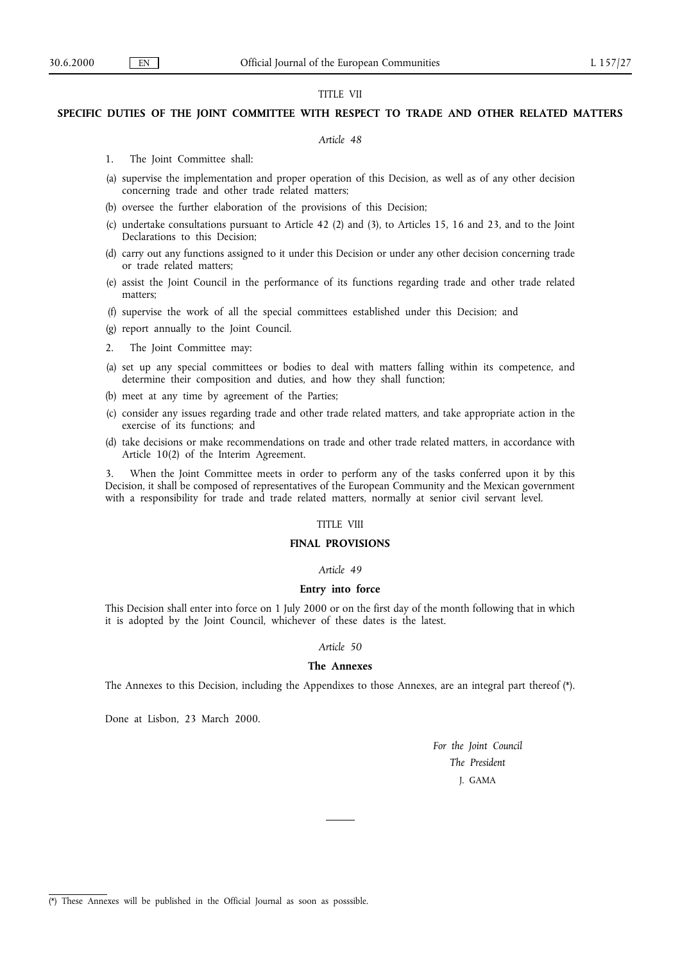# TITLE VII

## **SPECIFIC DUTIES OF THE JOINT COMMITTEE WITH RESPECT TO TRADE AND OTHER RELATED MATTERS**

#### *Article 48*

- 1. The Joint Committee shall:
- (a) supervise the implementation and proper operation of this Decision, as well as of any other decision concerning trade and other trade related matters;
- (b) oversee the further elaboration of the provisions of this Decision;
- (c) undertake consultations pursuant to Article 42 (2) and (3), to Articles 15, 16 and 23, and to the Joint Declarations to this Decision;
- (d) carry out any functions assigned to it under this Decision or under any other decision concerning trade or trade related matters;
- (e) assist the Joint Council in the performance of its functions regarding trade and other trade related matters;
- (f) supervise the work of all the special committees established under this Decision; and
- (g) report annually to the Joint Council.
- 2. The Joint Committee may:
- (a) set up any special committees or bodies to deal with matters falling within its competence, and determine their composition and duties, and how they shall function;
- (b) meet at any time by agreement of the Parties;
- (c) consider any issues regarding trade and other trade related matters, and take appropriate action in the exercise of its functions; and
- (d) take decisions or make recommendations on trade and other trade related matters, in accordance with Article 10(2) of the Interim Agreement.

When the Joint Committee meets in order to perform any of the tasks conferred upon it by this Decision, it shall be composed of representatives of the European Community and the Mexican government with a responsibility for trade and trade related matters, normally at senior civil servant level.

## TITLE VIII

## **FINAL PROVISIONS**

## *Article 49*

## **Entry into force**

This Decision shall enter into force on 1 July 2000 or on the first day of the month following that in which it is adopted by the Joint Council, whichever of these dates is the latest.

## *Article 50*

#### **The Annexes**

The Annexes to this Decision, including the Appendixes to those Annexes, are an integral part thereof (\*).

Done at Lisbon, 23 March 2000.

*For the Joint Council The President* J. GAMA